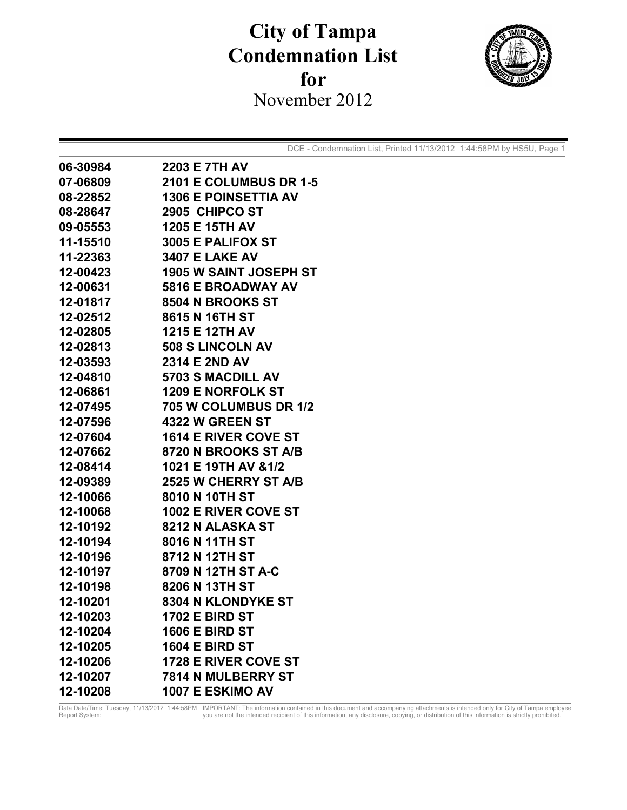## **City of Tampa Condemnation List**  for November 2012



DCE - Condemnation List, Printed 11/13/2012 1:44:58PM by HS5U, Page 1

| 06-30984 | <b>2203 E 7TH AV</b>          |
|----------|-------------------------------|
| 07-06809 | <b>2101 E COLUMBUS DR 1-5</b> |
| 08-22852 | <b>1306 E POINSETTIA AV</b>   |
| 08-28647 | 2905 CHIPCO ST                |
| 09-05553 | 1205 E 15TH AV                |
| 11-15510 | <b>3005 E PALIFOX ST</b>      |
| 11-22363 | <b>3407 E LAKE AV</b>         |
| 12-00423 | 1905 W SAINT JOSEPH ST        |
| 12-00631 | 5816 E BROADWAY AV            |
| 12-01817 | 8504 N BROOKS ST              |
| 12-02512 | 8615 N 16TH ST                |
| 12-02805 | 1215 E 12TH AV                |
| 12-02813 | 508 S LINCOLN AV              |
| 12-03593 | 2314 E 2ND AV                 |
| 12-04810 | 5703 S MACDILL AV             |
| 12-06861 | <b>1209 E NORFOLK ST</b>      |
| 12-07495 | 705 W COLUMBUS DR 1/2         |
| 12-07596 | <b>4322 W GREEN ST</b>        |
| 12-07604 | <b>1614 E RIVER COVE ST</b>   |
| 12-07662 | 8720 N BROOKS ST A/B          |
| 12-08414 | 1021 E 19TH AV &1/2           |
| 12-09389 | <b>2525 W CHERRY ST A/B</b>   |
| 12-10066 | 8010 N 10TH ST                |
| 12-10068 | <b>1002 E RIVER COVE ST</b>   |
| 12-10192 | 8212 N ALASKA ST              |
| 12-10194 | 8016 N 11TH ST                |
| 12-10196 | 8712 N 12TH ST                |
| 12-10197 | 8709 N 12TH ST A-C            |
| 12-10198 | 8206 N 13TH ST                |
| 12-10201 | <b>8304 N KLONDYKE ST</b>     |
| 12-10203 | <b>1702 E BIRD ST</b>         |
| 12-10204 | <b>1606 E BIRD ST</b>         |
| 12-10205 | <b>1604 E BIRD ST</b>         |
| 12-10206 | <b>1728 E RIVER COVE ST</b>   |
| 12-10207 | 7814 N MULBERRY ST            |
| 12-10208 | 1007 E ESKIMO AV              |

Data Date/Time: Tuesday, 11/13/2012 1:44:58PM IMPORTANT: The information contained in this document and accompanying attachments is intended only for City of Tampa employee<br>Report System: veral only rotation is strictly pr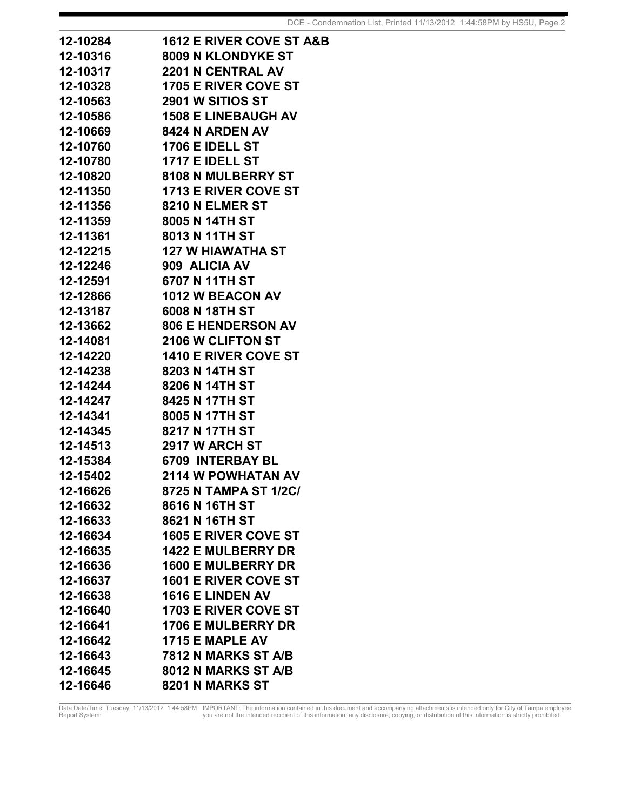| 12-10284 | <b>1612 E RIVER COVE ST A&amp;B</b> |
|----------|-------------------------------------|
| 12-10316 | 8009 N KLONDYKE ST                  |
| 12-10317 | <b>2201 N CENTRAL AV</b>            |
| 12-10328 | <b>1705 E RIVER COVE ST</b>         |
| 12-10563 | 2901 W SITIOS ST                    |
| 12-10586 | <b>1508 E LINEBAUGH AV</b>          |
| 12-10669 | <b>8424 N ARDEN AV</b>              |
| 12-10760 | <b>1706 E IDELL ST</b>              |
| 12-10780 | <b>1717 E IDELL ST</b>              |
| 12-10820 | 8108 N MULBERRY ST                  |
| 12-11350 | <b>1713 E RIVER COVE ST</b>         |
| 12-11356 | <b>8210 N ELMER ST</b>              |
| 12-11359 | 8005 N 14TH ST                      |
| 12-11361 | 8013 N 11TH ST                      |
| 12-12215 | 127 W HIAWATHA ST                   |
| 12-12246 | 909 ALICIA AV                       |
| 12-12591 | 6707 N 11TH ST                      |
| 12-12866 | <b>1012 W BEACON AV</b>             |
| 12-13187 | 6008 N 18TH ST                      |
| 12-13662 | <b>806 E HENDERSON AV</b>           |
| 12-14081 | <b>2106 W CLIFTON ST</b>            |
| 12-14220 | <b>1410 E RIVER COVE ST</b>         |
| 12-14238 | 8203 N 14TH ST                      |
| 12-14244 | 8206 N 14TH ST                      |
| 12-14247 | 8425 N 17TH ST                      |
| 12-14341 | 8005 N 17TH ST                      |
| 12-14345 | 8217 N 17TH ST                      |
| 12-14513 | <b>2917 W ARCH ST</b>               |
| 12-15384 | <b>6709 INTERBAY BL</b>             |
| 12-15402 | 2114 W POWHATAN AV                  |
| 12-16626 | 8725 N TAMPA ST 1/2C/               |
| 12-16632 | 8616 N 16TH ST                      |
| 12-16633 | 8621 N 16TH ST                      |
| 12-16634 | <b>1605 E RIVER COVE ST</b>         |
| 12-16635 | <b>1422 E MULBERRY DR</b>           |
| 12-16636 | <b>1600 E MULBERRY DR</b>           |
| 12-16637 | <b>1601 E RIVER COVE ST</b>         |
| 12-16638 | <b>1616 E LINDEN AV</b>             |
| 12-16640 | <b>1703 E RIVER COVE ST</b>         |
| 12-16641 | <b>1706 E MULBERRY DR</b>           |
| 12-16642 | 1715 E MAPLE AV                     |
| 12-16643 | 7812 N MARKS ST A/B                 |
| 12-16645 | 8012 N MARKS ST A/B                 |
| 12-16646 | 8201 N MARKS ST                     |

Data Date/Time: Tuesday, 11/13/2012 1:44:58PM IMPORTANT: The information contained in this document and accompanying attachments is intended only for City of Tampa employee<br>Report System: veral only rotation is strictly pr